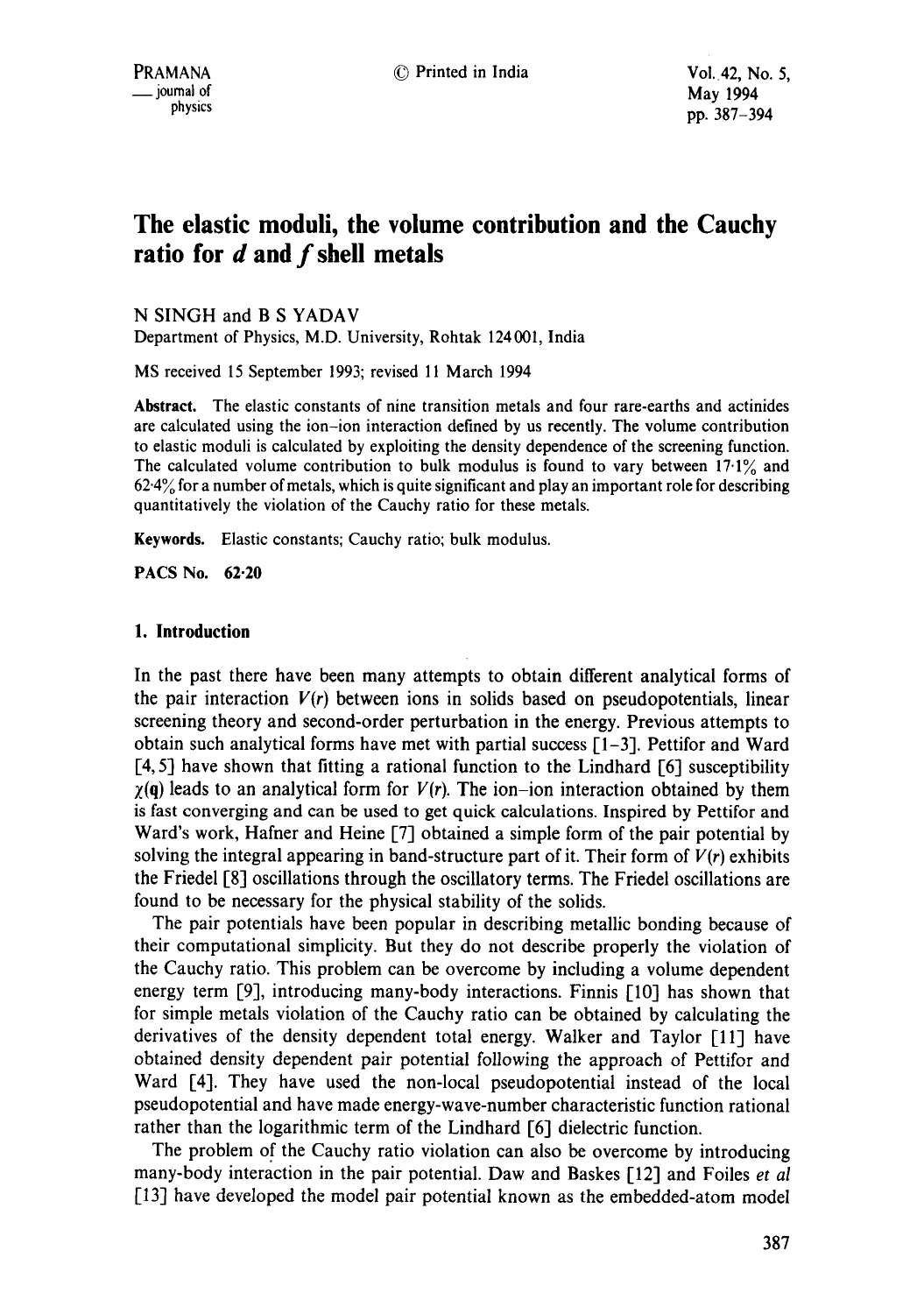# **The elastic moduli, the volume contribution and the Cauchy ratio for d and f shell metals**

N SINGH and B S YADAV

Department of Physics, M.D. University, Rohtak 124001, India

MS received 15 September 1993; revised 11 March 1994

**Abstract.** The elastic constants of nine transition metals and four rare-earths and actinides are calculated using the ion-ion interaction defined by us recently. The volume contribution to elastic moduli is calculated by exploiting the density dependence of the screening function. The calculated volume contribution to bulk modulus is found to vary between  $17.1\%$  and  $62.4\%$  for a number of metals, which is quite significant and play an important role for describing quantitatively the violation of the Cauchy ratio for these metals.

**Keywords.** Elastic constants; Cauchy ratio; bulk modulus.

PACS No. 62.20

### **1. Introduction**

In the past there have been many attempts to obtain different analytical forms of the pair interaction  $V(r)$  between ions in solids based on pseudopotentials, linear screening theory and second-order perturbation in the energy. Previous attempts to obtain such analytical forms have met with partial success [1-3]. Pettifor and Ward [4, 5] have shown that fitting a rational function to the Lindhard [6] susceptibility  $\gamma$ (q) leads to an analytical form for *V(r)*. The ion-ion interaction obtained by them is fast converging and can be used to get quick calculations. Inspired by Pettifor and Ward's work, Hafner and Heine [7] obtained a simple form of the pair potential by solving the integral appearing in band-structure part of it. Their form of *V(r)* exhibits the Friedel [8] oscillations through the oscillatory terms. The Friedel oscillations are found to be necessary for the physical stability of the solids.

The pair potentials have been popular in describing metallic bonding because of their computational simplicity. But they do not describe properly the violation of the Cauchy ratio. This problem can be overcome by including a volume dependent energy term [9], introducing many-body interactions. Finnis [10] has shown that for simple metals violation of the Cauchy ratio can be obtained by calculating the derivatives of the density dependent total energy. Walker and Taylor [11] have obtained density dependent pair potential following the approach of Pettifor and Ward [4]. They have used the non-local pseudopotential instead of the local pseudopotential and have made energy-wave-number characteristic function rational rather than the logarithmic term of the Lindhard [6] dielectric function.

The problem of the Cauchy ratio violation can also be overcome by introducing many-body interaction in the pair potential. Daw and Baskes [12] and Foiles *et al*  [13] have developed the model pair potential known as the embedded-atom model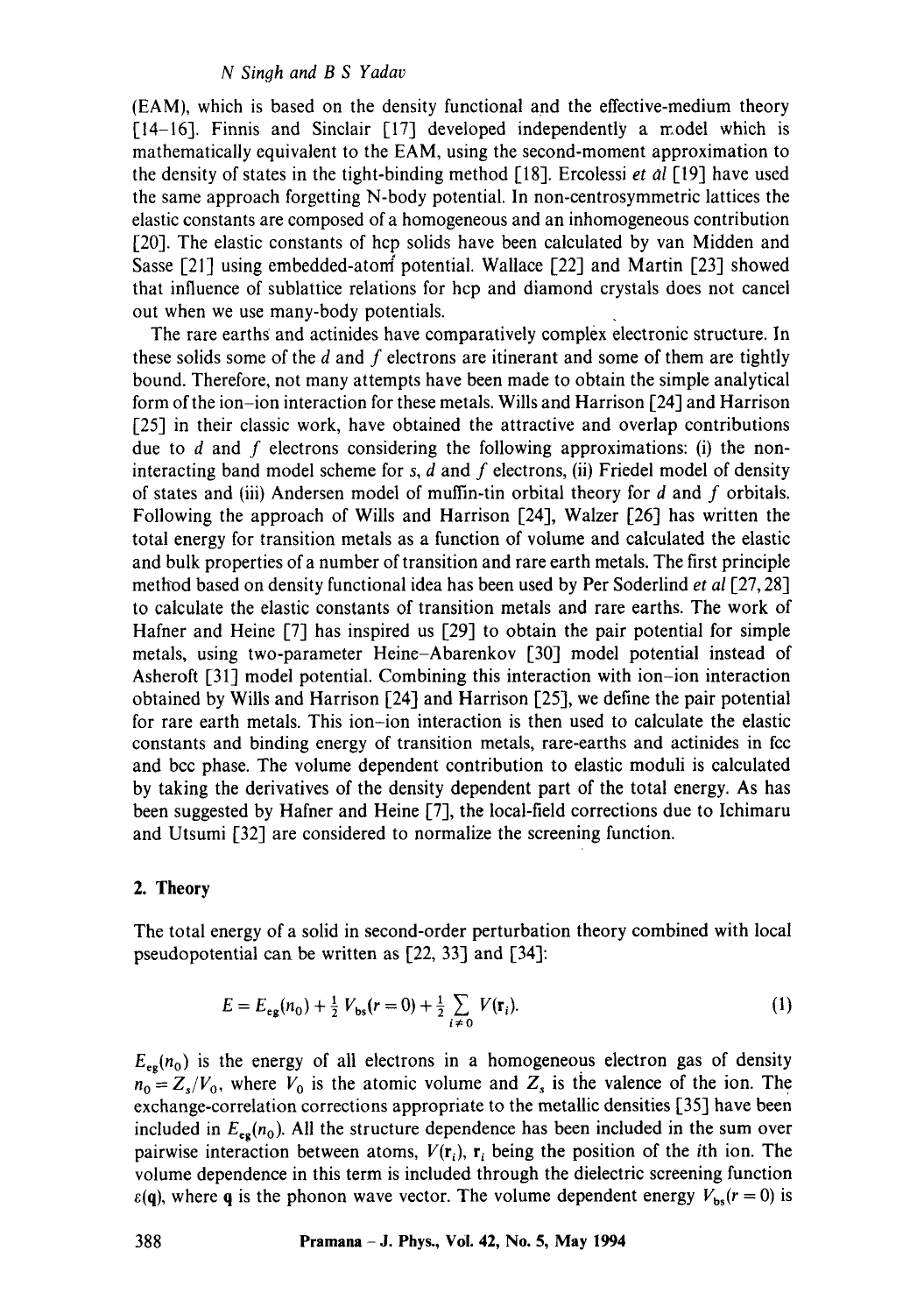### *N Singh and B S Yadav*

(EAM), which is based on the density functional and the effective-medium theory [14-16]. Finnis and Sinclair [17] developed independently a model which is mathematically equivalent to the EAM, using the second-moment approximation to the density of states in the tight-binding method [18]. Ercolessi *et al* [19] have used the same approach forgetting N-body potential. In non-centrosymmetric lattices the elastic constants are composed of a homogeneous and an inhomogeneous contribution [20]. The elastic constants of hcp solids have been calculated by van Midden and Sasse [21] using embedded-atom potential. Wallace [22] and Martin [23] showed that influence of sublattice relations for hcp and diamond crystals does not cancel out when we use many-body potentials.

The rare earths and actinides have comparatively complex electronic structure. In these solids some of the  $d$  and  $f$  electrons are itinerant and some of them are tightly bound. Therefore, not many attempts have been made to obtain the simple analytical form of the ion-ion interaction for these metals. Wills and Harrison [24] and Harrison [25] in their classic work, have obtained the attractive and overlap contributions due to  $d$  and  $f$  electrons considering the following approximations: (i) the noninteracting band model scheme for s,  $d$  and  $f$  electrons, (ii) Friedel model of density of states and (iii) Andersen model of muffin-tin orbital theory for  $d$  and  $f$  orbitals. Following the approach of Wills and Harrison [24], Walzer [26] has written the total energy for transition metals as a function of volume and calculated the elastic and bulk properties of a number of transition and rare earth metals. The first principle method based on density functional idea has been used by Per Soderlind *et al* [27, 28] to calculate the elastic constants of transition metals and rare earths. The work of Hafner and Heine [7] has inspired us [29] to obtain the pair potential for simple metals, using two-parameter Heine-Abarenkov [30] model potential instead of Asheroft [31] model potential. Combining this interaction with ion-ion interaction obtained by Wills and Harrison [24] and Harrison [25], we define the pair potential for rare earth metals. This ion-ion interaction is then used to calculate the elastic constants and binding energy of transition metals, rare-earths and actinides in fcc and bcc phase. The volume dependent contribution to elastic moduli is calculated by taking the derivatives of the density dependent part of the total energy. As has been suggested by Hafner and Heine [7], the local-field corrections due to Ichimaru and Utsumi [32] are considered to normalize the screening function.

### 2. **Theory**

The total energy of a solid in second-order perturbation theory combined with local pseudopotential can be written as [22, 33] and [34]:

$$
E = E_{eg}(n_0) + \frac{1}{2} V_{bs}(r=0) + \frac{1}{2} \sum_{i \neq 0} V(\mathbf{r}_i).
$$
 (1)

 $E_{eg}(n_0)$  is the energy of all electrons in a homogeneous electron gas of density  $n_0 = Z_s/V_0$ , where  $V_0$  is the atomic volume and  $Z_s$  is the valence of the ion. The exchange-correlation corrections appropriate to the metallic densities [35] have been included in  $E_{eg}(n_0)$ . All the structure dependence has been included in the sum over pairwise interaction between atoms,  $V(r_i)$ ,  $r_i$  being the position of the ith ion. The volume dependence in this term is included through the dielectric screening function  $\varepsilon$ (q), where q is the phonon wave vector. The volume dependent energy  $V_{bs}(r = 0)$  is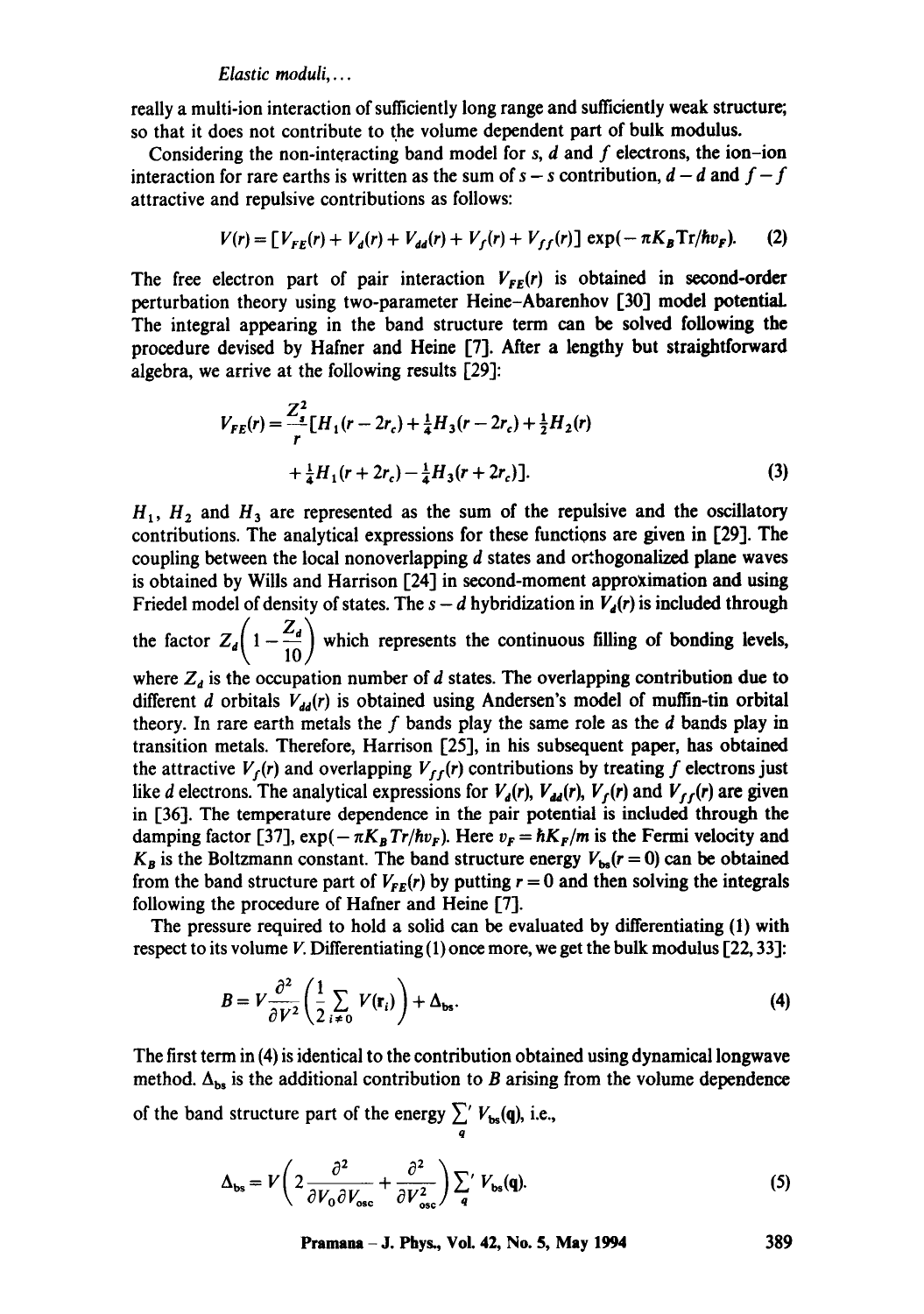### *Elastic moduli ....*

really a multi-ion interaction of sufficiently long range and sufficiently weak structure; so that it does not contribute to the volume dependent part of bulk modulus.

Considering the non-interacting band model for s, d and f electrons, the **ion-ion**  interaction for rare earths is written as the sum of  $s - s$  contribution,  $d - d$  and  $f - f$ attractive and repulsive contributions as follows:

$$
V(r) = [V_{FE}(r) + V_d(r) + V_{dd}(r) + V_f(r) + V_{ff}(r)] \exp(-\pi K_B \text{Tr}/\hbar v_F). \tag{2}
$$

The free electron part of pair interaction  $V_{FE}(r)$  is obtained in second-order perturbation theory using two-parameter Heine-Abarenhov [30] modal potentiaL The integral appearing in the band structure term can be solved following the procedure devised by Hafner and Heine [7]. After a lengthy but straightforward algebra, we arrive at the following results [29]:

$$
V_{FE}(r) = \frac{Z_{s}^{2}}{r} \left[ H_{1}(r - 2r_{c}) + \frac{1}{4} H_{3}(r - 2r_{c}) + \frac{1}{2} H_{2}(r) + \frac{1}{4} H_{1}(r + 2r_{c}) - \frac{1}{4} H_{3}(r + 2r_{c}) \right].
$$
\n(3)

 $H<sub>1</sub>$ ,  $H<sub>2</sub>$  and  $H<sub>3</sub>$  are represented as the sum of the repulsive and the oscillatory contributions. The analytical expressions for these functions are given in [29]. The coupling between the local nonoverlapping d states and orthogonalized plane waves is obtained by Wills and Harrison [24] in second-moment approximation and using Friedel model of density of states. The  $s - d$  hybridization in  $V_4(r)$  is included through the factor  $Z_d\left(1-\frac{Z_d}{10}\right)$  which represents the continuous filling of bonding levels, where  $Z_d$  is the occupation number of d states. The overlapping contribution due to different d orbitals  $V_{dd}(r)$  is obtained using Andersen's model of muffin-tin orbital theory. In rare earth metals the f bands play the same role as the  $d$  bands play in transition metals. Therefore, Harrison [25], in his subsequent paper, has obtained the attractive  $V_f(r)$  and overlapping  $V_{ff}(r)$  contributions by treating f electrons just like d electrons. The analytical expressions for  $V_d(r)$ ,  $V_{dd}(r)$ ,  $V_f(r)$  and  $V_{ff}(r)$  are given in [36]. The temperature dependence in the pair potential is included through the damping factor [37],  $\exp(-\pi K_B Tr/\hbar v_F)$ . Here  $v_F = \hbar K_F/m$  is the Fermi velocity and  $K_B$  is the Boltzmann constant. The band structure energy  $V_{bs}(r=0)$  can be obtained from the band structure part of  $V_{FE}(r)$  by putting  $r = 0$  and then solving the integrals following the procedure of Hafner and Heine [7].

The pressure required to hold a solid can be evaluated by differentiating (1) with respect to its volume V. Differentiating  $(1)$  once more, we get the bulk modulus [22, 33]:

$$
B = V \frac{\partial^2}{\partial V^2} \left( \frac{1}{2} \sum_{i \neq 0} V(\mathbf{r}_i) \right) + \Delta_{\mathbf{bs}}.
$$
 (4)

The first term in (4) is identical to the contribution obtained using dynamical longwave method.  $\Delta_{bs}$  is the additional contribution to B arising from the volume dependence of the band structure part of the energy  $\sum_{q}^{q} V_{bs}(q)$ , i.e.,

$$
\Delta_{\text{bs}} = V \left( 2 \frac{\partial^2}{\partial V_0 \partial V_{\text{osc}}} + \frac{\partial^2}{\partial V_{\text{osc}}^2} \right) \sum_{q} V_{\text{bs}}(q). \tag{5}
$$

**Pramana - J. Phys., Vol. 42, No. 5, May 1994 389**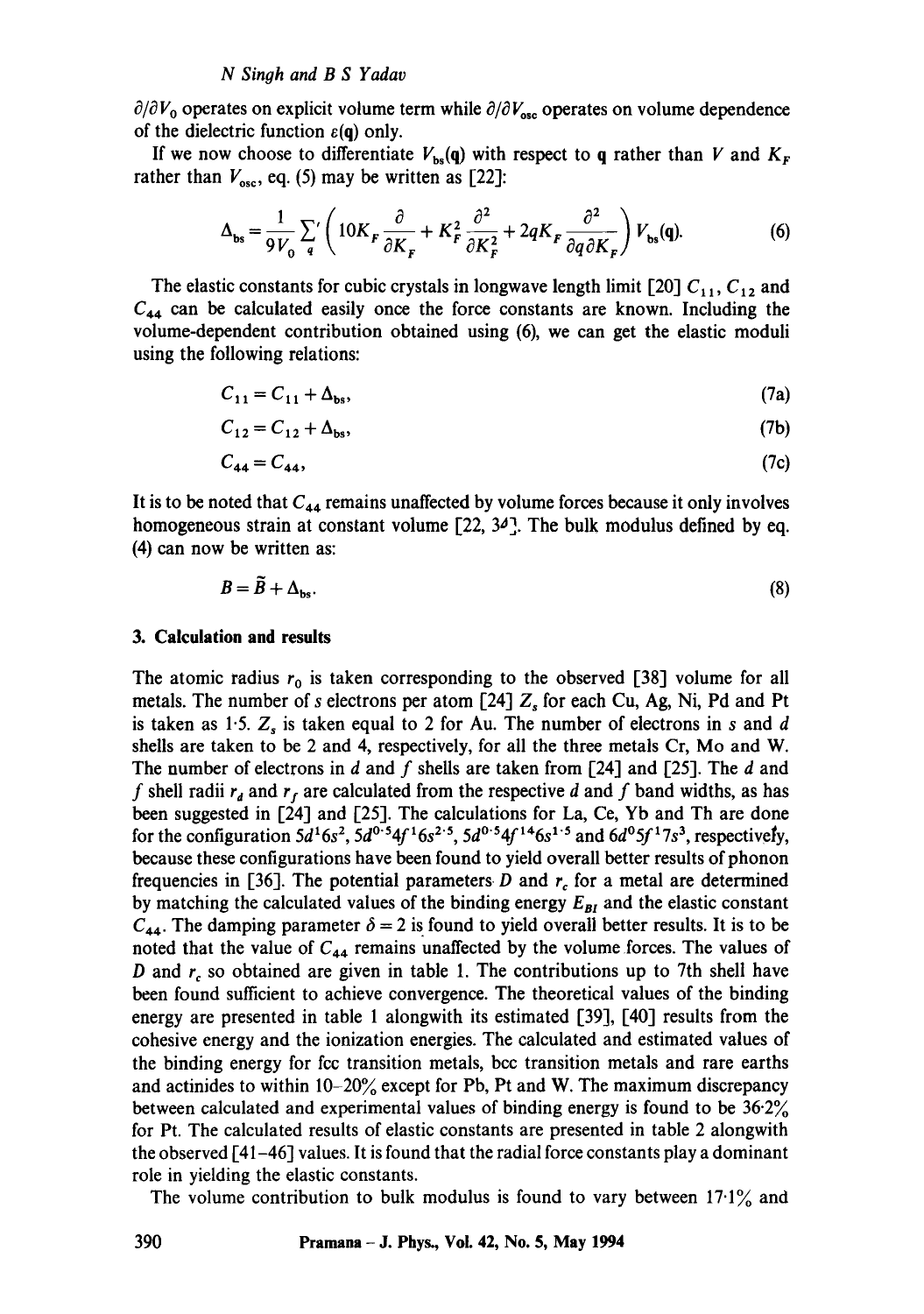$\partial/\partial V_0$  operates on explicit volume term while  $\partial/\partial V_{\text{osc}}$  operates on volume dependence of the dielectric function  $\varepsilon(q)$  only.

If we now choose to differentiate  $V_{bs}(q)$  with respect to q rather than V and  $K_F$ rather than  $V_{\text{osc}}$ , eq. (5) may be written as [22]:

$$
\Delta_{\mathbf{bs}} = \frac{1}{9V_0} \sum_{q} \left( 10K_F \frac{\partial}{\partial K_F} + K_F^2 \frac{\partial^2}{\partial K_F^2} + 2qK_F \frac{\partial^2}{\partial q \partial K_F} \right) V_{\mathbf{bs}}(\mathbf{q}). \tag{6}
$$

The elastic constants for cubic crystals in longwave length limit [20]  $C_{11}$ ,  $C_{12}$  and  $C_{44}$  can be calculated easily once the force constants are known. Including the volume-dependent contribution obtained using (6), we can get the elastic moduli using the following relations:

$$
C_{11} = C_{11} + \Delta_{bs}, \tag{7a}
$$

$$
C_{12} = C_{12} + \Delta_{bs},\tag{7b}
$$

$$
C_{44} = C_{44},\tag{7c}
$$

It is to be noted that  $C_{44}$  remains unaffected by volume forces because it only involves homogeneous strain at constant volume  $[22, 34]$ . The bulk modulus defined by eq. (4) can now be written as:

$$
B = \tilde{B} + \Delta_{bs}.\tag{8}
$$

#### **3. Calculation and results**

The atomic radius  $r_0$  is taken corresponding to the observed [38] volume for all metals. The number of s electrons per atom [24]  $Z_s$  for each Cu, Ag, Ni, Pd and Pt is taken as 1.5.  $Z<sub>s</sub>$  is taken equal to 2 for Au. The number of electrons in s and d shells are taken to be 2 and 4, respectively, for all the three metals Cr, Mo and W. The number of electrons in d and f shells are taken from [24] and [25]. The d and f shell radii  $r_d$  and  $r_f$  are calculated from the respective d and f band widths, as has been suggested in [24] and [25]. The calculations for La, Ce, Yb and Th are done for the configuration  $5d^16s^2$ ,  $5d^0.54f^16s^2.5$ ,  $5d^0.54f^{14}6s^1.5$  and  $6d^05f^17s^3$ , respectively, because these configurations have been found to yield overall better results of phonon frequencies in [36]. The potential parameters D and  $r_c$  for a metal are determined by matching the calculated values of the binding energy  $E_{BI}$  and the elastic constant  $C_{44}$ . The damping parameter  $\delta = 2$  is found to yield overall better results. It is to be noted that the value of  $C_{44}$  remains unaffected by the volume forces. The values of D and  $r_c$  so obtained are given in table 1. The contributions up to 7th shell have been found sufficient to achieve convergence. The theoretical values of the binding energy are presented in table 1 alongwith its estimated [39], [40] results from the cohesive energy and the ionization energies. The calculated and estimated values of the binding energy for fcc transition metals, bcc transition metals and rare earths and actinides to within  $10-20\%$  except for Pb, Pt and W. The maximum discrepancy between calculated and experimental values of binding energy is found to be  $36.2\%$ for Pt. The calculated results of elastic constants are presented in table 2 alongwith the observed [41-46] values. It is found that the radial force constants play a dominant role in yielding the elastic constants.

The volume contribution to bulk modulus is found to vary between  $17.1\%$  and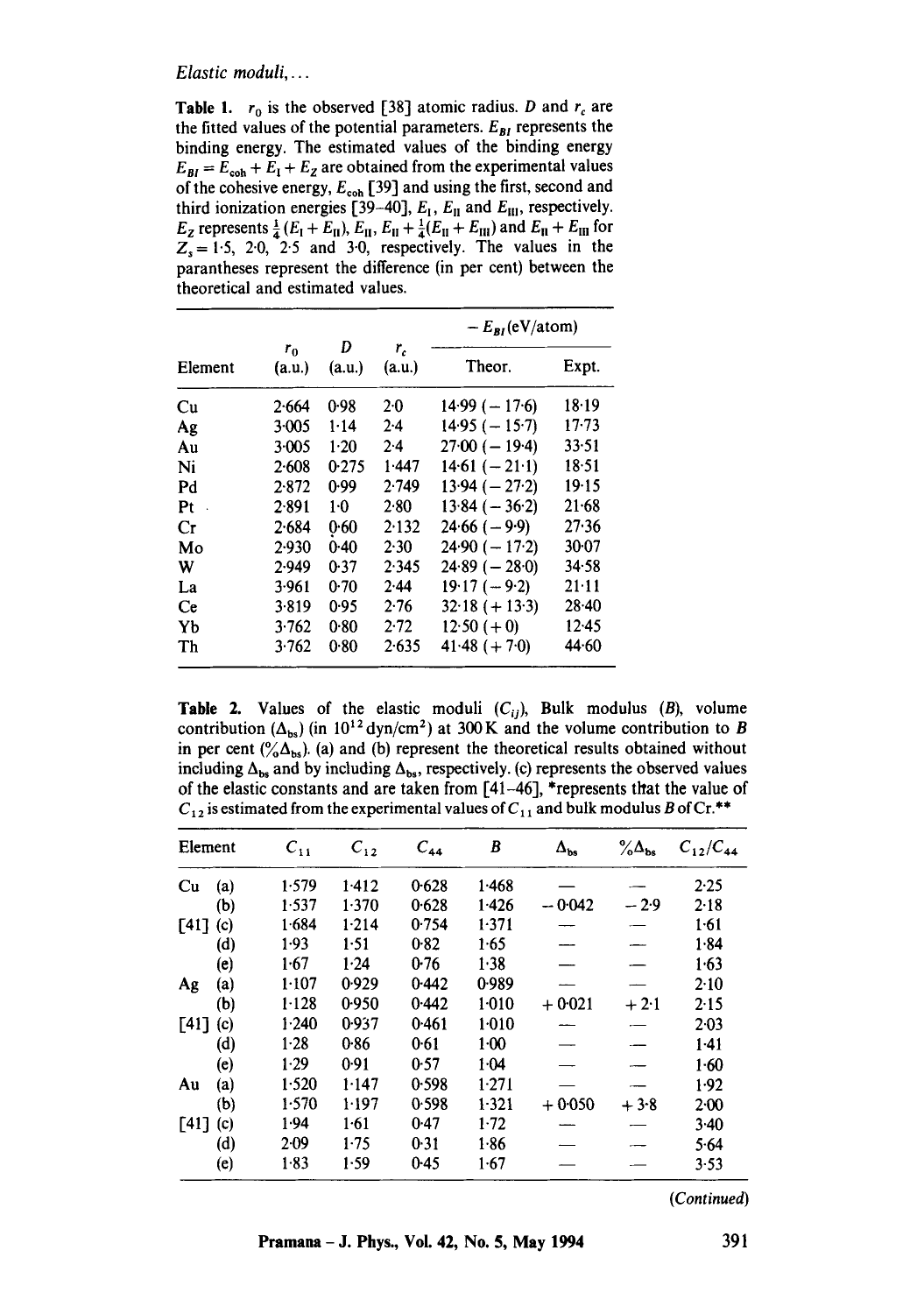#### *Elastic moduli,...*

**Table 1.**  $r_0$  is the observed [38] atomic radius. D and  $r_c$  are the fitted values of the potential parameters.  $E_{BI}$  represents the binding energy. The estimated values of the binding energy  $E_{BI} = E_{coh} + E_1 + E_2$  are obtained from the experimental values of the cohesive energy,  $E_{coh}$  [39] and using the first, second and third ionization energies [39-40],  $E<sub>1</sub>$ ,  $E<sub>II</sub>$  and  $E<sub>III</sub>$ , respectively.  $E_z$  represents  $\frac{1}{4}(E_1 + E_{II})$ ,  $E_{II}$ ,  $E_{II} + \frac{1}{4}(E_{II} + E_{III})$  and  $E_{II} + E_{III}$  for  $Z_s = 1.5$ , 2.0, 2.5 and 3.0, respectively. The values in the parantheses represent the difference (in per cent) between the theoretical and estimated values.

|                            |                   |             |                 | $-E_{RI}(eV/atom)$ |           |  |
|----------------------------|-------------------|-------------|-----------------|--------------------|-----------|--|
| Element                    | $r_{0}$<br>(a.u.) | D<br>(a.u.) | $r_c$<br>(a.u.) | Theor.             | Expt.     |  |
| Cц                         | 2.664             | 0.98        | $2 - 0$         | $14.99(-17.6)$     | 18.19     |  |
| Ag                         | 3.005             | $1 - 14$    | $2 - 4$         | $14.95 (-15.7)$    | $17 - 73$ |  |
| Aц                         | 3.005             | $1-20$      | 2.4             | $27.00(-19.4)$     | 33.51     |  |
| Ni                         | 2.608             | 0.275       | 1.447           | $14.61 (-21.1)$    | 18.51     |  |
| Pd                         | 2.872             | 0.99        | 2.749           | $13.94 (-27.2)$    | 19.15     |  |
| Pt<br>$\ddot{\phantom{a}}$ | 2.891             | 1.0         | 2.80            | $13.84 (-36.2)$    | $21 - 68$ |  |
| Сr                         | 2.684             | 0.60        | 2.132           | $24.66(-9.9)$      | 27.36     |  |
| Mo                         | 2.930             | 0.40        | 2.30            | $24.90(-17.2)$     | $30-07$   |  |
| W                          | 2.949             | 0.37        | 2.345           | $24.89(-28.0)$     | 34.58     |  |
| La                         | 3.961             | 0.70        | 2.44            | $19.17 (-9.2)$     | 21:11     |  |
| Ce                         | 3.819             | 0.95        | 2.76            | $32.18 (+ 13.3)$   | $28-40$   |  |
| Yb                         | 3.762             | 0.80        | 2.72            | $12.50 (+ 0)$      | $12-45$   |  |
| Th                         | 3.762             | 0.80        | 2.635           | $41.48 (+ 7.0)$    | 44.60     |  |

**Table 2.** Values of the elastic moduli  $(C_{ij})$ , Bulk modulus  $(B)$ , volume contribution ( $\Delta_{bs}$ ) (in 10<sup>12</sup> dyn/cm<sup>2</sup>) at 300 K and the volume contribution to B in per cent  $({}^{\circ}\!\!/\Delta_{bs})$ . (a) and (b) represent the theoretical results obtained without including  $\Delta_{bs}$  and by including  $\Delta_{bs}$ , respectively. (c) represents the observed values of the elastic constants and are taken from  $[41-46]$ , \*represents that the value of  $C_{12}$  is estimated from the experimental values of  $C_{11}$  and bulk modulus B of Cr.\*\*

| Element     |     | $C_{11}$ | $C_{12}$ | $C_{44}$ | B        | $\Delta_{bs}$ | $\% \Delta_{bs}$ | $C_{12}/C_{44}$ |
|-------------|-----|----------|----------|----------|----------|---------------|------------------|-----------------|
| Cu          | (a) | 1.579    | 1.412    | 0.628    | 1.468    |               |                  | 2.25            |
|             | (b) | 1.537    | 1.370    | 0.628    | 1.426    | $-0.042$      | $-2.9$           | 2.18            |
| <b>1411</b> | (c) | 1.684    | 1.214    | 0.754    | 1.371    |               |                  | 1.61            |
|             | (d) | 1.93     | 1.51     | 0.82     | 1.65     |               |                  | 1.84            |
|             | (e) | 1.67     | 1.24     | 0.76     | 1.38     |               |                  | 1.63            |
| Ag          | (a) | 1.107    | 0.929    | 0.442    | 0.989    |               |                  | $2-10$          |
|             | (b) | $1-128$  | 0.950    | 0.442    | 1.010    | $+0.021$      | $+2.1$           | 2.15            |
| $[41]$ (c)  |     | 1.240    | 0.937    | 0.461    | $1-010$  |               |                  | 2.03            |
|             | (d) | $1-28$   | 0.86     | 0.61     | $1 - 00$ |               |                  | $1-41$          |
|             | (e) | $1-29$   | 0.91     | 0.57     | 1.04     |               |                  | $1 - 60$        |
| Au          | (a) | 1.520    | 1.147    | 0.598    | 1.271    |               |                  | 1.92            |
|             | (b) | 1.570    | 1-197    | 0.598    | $1-321$  | $+0.050$      | $+3.8$           | 2.00            |
| $[41]$      | (c) | 1.94     | $1-61$   | 0.47     | $1-72$   |               |                  | $3-40$          |
|             | (d) | 2.09     | 1.75     | 0.31     | 1.86     |               |                  | 5.64            |
|             | (e) | $1-83$   | 1.59     | 0.45     | 1.67     |               |                  | 3.53            |

*(Continued)*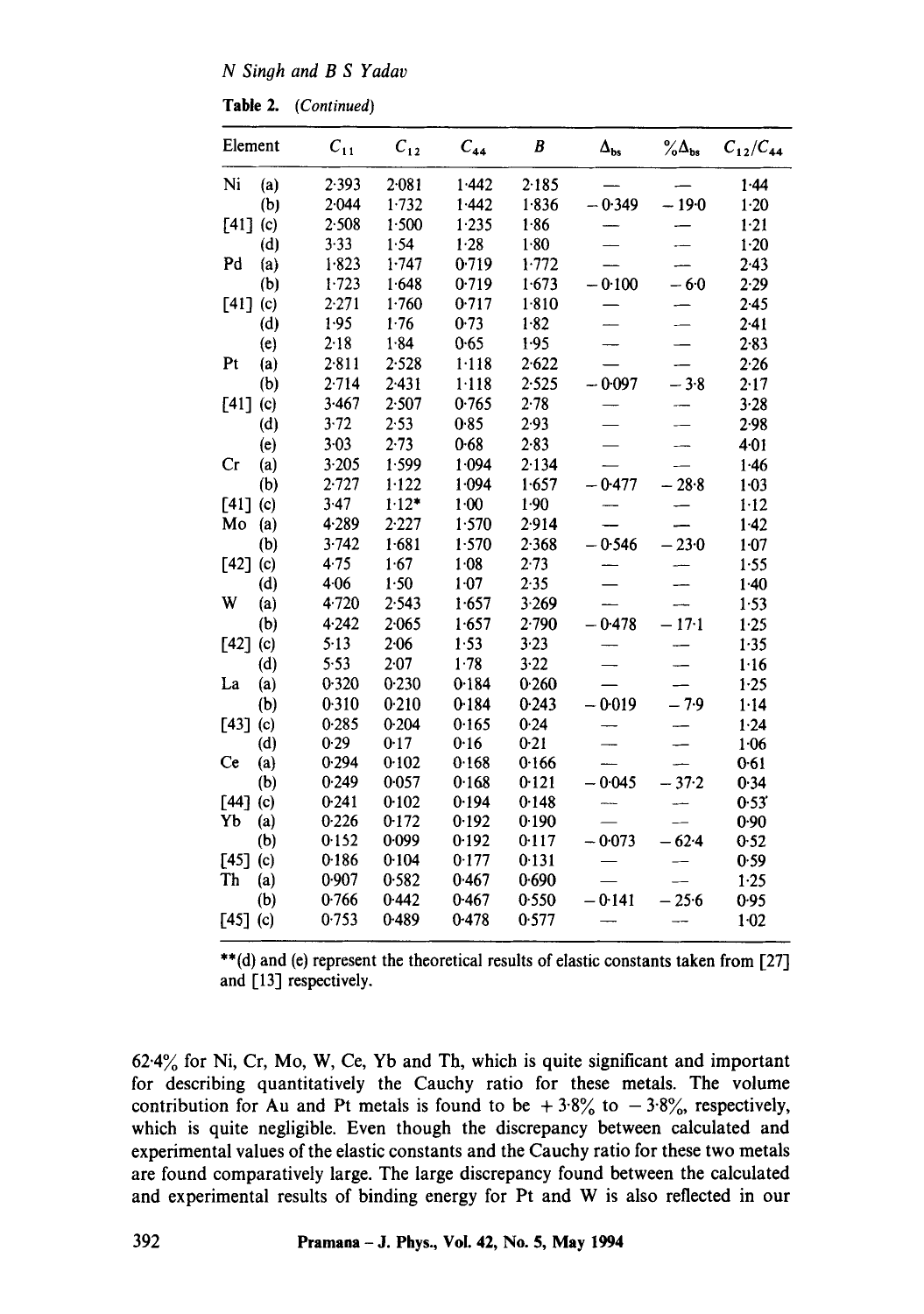*N Sinoh and B S Yadav* 

**Table** 2. *(Continued)* 

| Element            |     | $C_{11}$ | $C_{12}$  | $C_{44}$ | B        | $\Delta_{\rm bs}$ | $\%$ $\Delta_{bs}$ | $C_{12}/C_{44}$ |
|--------------------|-----|----------|-----------|----------|----------|-------------------|--------------------|-----------------|
| Ni                 | (a) | 2.393    | $2 - 081$ | 1.442    | 2.185    |                   |                    | 1.44            |
|                    | (b) | 2.044    | 1.732     | 1.442    | 1.836    | $-0.349$          | $-190$             | $1 - 20$        |
| [41]               | (c) | 2.508    | 1.500     | 1.235    | 1.86     |                   |                    | 1.21            |
|                    | (d) | 3.33     | 1.54      | 1.28     | 1.80     |                   |                    | $1 - 20$        |
| Pd                 | (a) | 1.823    | 1.747     | 0.719    | 1.772    |                   |                    | 2.43            |
|                    | (b) | 1.723    | 1.648     | 0.719    | 1.673    | $-0.100$          | $-6.0$             | 2.29            |
| $\lceil 41 \rceil$ | (c) | 2.271    | 1.760     | 0.717    | 1.810    |                   |                    | 2.45            |
|                    | (d) | 1.95     | 1.76      | 0.73     | 1.82     |                   |                    | $2-41$          |
|                    | (e) | 2.18     | 1.84      | 0.65     | 1.95     |                   |                    | $2 - 83$        |
| Pt                 | (a) | 2.811    | 2.528     | 1.118    | 2.622    |                   |                    | 2.26            |
|                    | (b) | 2.714    | 2.431     | 1.118    | 2.525    | $-0.097$          | $-3.8$             | 2.17            |
| [41]               | (c) | 3.467    | 2.507     | 0.765    | 2.78     |                   |                    | 3.28            |
|                    | (d) | 3.72     | 2.53      | 0.85     | 2.93     |                   |                    | 2.98            |
|                    | (e) | $3 - 03$ | $2 - 73$  | 0.68     | $2 - 83$ |                   |                    | 4.01            |
| Cr                 | (a) | 3.205    | 1.599     | 1.094    | 2.134    |                   |                    | 1.46            |
|                    | (b) | 2.727    | $1 - 122$ | 1.094    | 1.657    | $-0.477$          | $-28.8$            | $1 - 03$        |
| [41]               | (c) | 3.47     | $1.12*$   | 1.00     | 1.90     |                   |                    | $1 - 12$        |
| Mo                 | (a) | 4.289    | 2.227     | 1.570    | 2.914    |                   |                    | 1.42            |
|                    | (b) | 3.742    | 1.681     | 1.570    | 2.368    | $-0.546$          | $-230$             | 1.07            |
| $[42]$             | (c) | 4.75     | 1.67      | 1.08     | 2.73     |                   |                    | 1.55            |
|                    | (d) | 4.06     | 1.50      | $1 - 07$ | 2.35     |                   |                    | 1.40            |
| W                  | (a) | 4.720    | 2.543     | 1.657    | 3.269    |                   |                    | 1.53            |
|                    | (b) | 4.242    | 2.065     | 1.657    | 2.790    | $-0.478$          | $-17.1$            | 1.25            |
| $[42]$             | (c) | 5.13     | 2.06      | 1.53     | 3.23     |                   |                    | 1.35            |
|                    | (d) | 5.53     | 2.07      | 1.78     | 3.22     |                   |                    | 1.16            |
| La                 | (a) | 0.320    | 0.230     | 0.184    | 0.260    |                   |                    | $1 - 25$        |
|                    | (b) | 0.310    | 0.210     | 0.184    | 0.243    | $-0.019$          | $-7.9$             | 1.14            |
| [43]               | (c) | 0.285    | 0.204     | 0.165    | 0.24     |                   |                    | 1.24            |
|                    | (d) | 0.29     | 0.17      | 0.16     | 0.21     |                   |                    | 1.06            |
| <b>Ce</b>          | (a) | 0.294    | 0.102     | 0.168    | 0.166    |                   |                    | 0.61            |
|                    | (b) | 0.249    | 0.057     | 0.168    | 0.121    | $-0.045$          | $-37.2$            | 0.34            |
| $\lceil 44 \rceil$ | (c) | 0.241    | 0.102     | 0.194    | 0.148    |                   |                    | 0.53'           |
| Yb                 | (a) | 0.226    | 0.172     | 0.192    | 0.190    |                   |                    | 0.90            |
|                    | (b) | 0.152    | 0.099     | 0.192    | 0.117    | $-0.073$          | $-62.4$            | 0.52            |
| [45]               | (c) | 0.186    | 0.104     | 0.177    | 0.131    |                   |                    | 0.59            |
| Th                 | (a) | 0.907    | 0.582     | 0.467    | 0.690    |                   |                    | 1.25            |
|                    | (b) | 0.766    | 0.442     | 0.467    | 0.550    | $-0.141$          | $-25.6$            | 0.95            |
| $[45]$ (c)         |     | 0.753    | 0.489     | 0-478    | 0.577    |                   |                    | $1-02$          |

\*\*(d) and (e) represent the theoretical results of elastic constants taken from [27] and [13] respectively.

62.4% for Ni, Cr, Mo, W, Ce, Yb and Th, which is quite significant and important for describing quantitatively the Cauchy ratio for these metals. The volume contribution for Au and Pt metals is found to be  $+3.8\%$  to  $-3.8\%$ , respectively, which is quite negligible. Even though the discrepancy between calculated and experimental values of the elastic constants and the Cauchy ratio for these two metals are found comparatively large. The large discrepancy found between the calculated and experimental results of binding energy for Pt and W is also reflected in our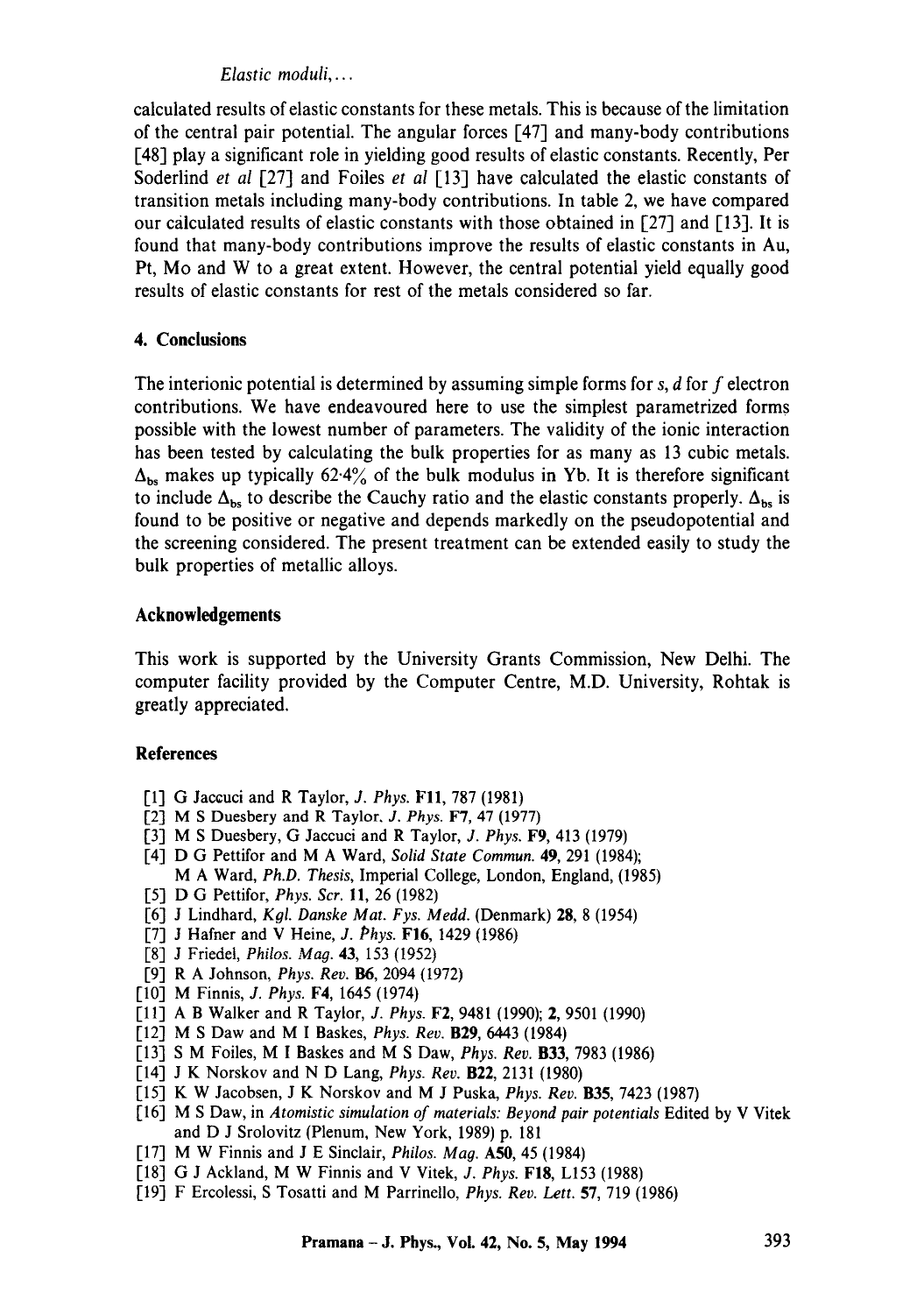# *Elastic moduli ....*

calculated results of elastic constants for these metals. This is because of the limitation of the central pair potential. The angular forces [47] and many-body contributions [48] play a significant role in yielding good results of elastic constants. Recently, Per Soderlind *et al* [27] and Foiles *et al* [13] have calculated the elastic constants of transition metals including many-body contributions. In table 2, we have compared our calculated results of elastic constants with those obtained in [27] and [13]. It is found that many-body contributions improve the results of elastic constants in Au, Pt, Mo and W to a great extent. However, the central potential yield equally good results of elastic constants for rest of the metals considered so far.

### **4. Conclusions**

The interionic potential is determined by assuming simple forms for s,  $d$  for  $f$  electron contributions. We have endeavoured here to use the simplest parametrized forms possible with the lowest number of parameters. The validity of the ionic interaction has been tested by calculating the bulk properties for as many as 13 cubic metals.  $\Delta_{\rm bs}$  makes up typically 62.4% of the bulk modulus in Yb. It is therefore significant to include  $\Delta_{bs}$  to describe the Cauchy ratio and the elastic constants properly.  $\Delta_{bs}$  is found to be positive or negative and depends markedly on the pseudopotential and the screening considered. The present treatment can be extended easily to study the bulk properties of metallic alloys.

### **Acknowledgements**

This work is supported by the University Grants Commission, New Delhi. The computer facility provided by the Computer Centre, M.D. University, Rohtak is greatly appreciated.

# **References**

- [1] G Jaccuci and R Taylor, *J. Phys.* FI1, 787 (1981)
- I-2] M S Duesbery and R Taylor. *J. Phys.* F7, 47 (1977)
- 1"3] M S Duesbery, G Jaccuci and R Taylor, *J. Phys.* F9, 413 (1979)
- [4] D G Pettifor and M A Ward, *Solid State Commun.* 49, 291 (1984); M A Ward, *Ph.D. Thesis,* Imperial College, London, England, (1985)
- [5] D G Pettifor, *Phys. Scr.* 11, 26 (1982)
- [6] J Lindhard, *Kgl. Danske Mat. Fys. Medd.* (Denmark) 28, 8 (1954)
- [71 J Hafner and V Heine, *J. Phys.* F16, 1429 (1986)
- [8] J Friedel, *Philos. Mag.* 43, 153 (1952)
- 1"9] R A Johnson, *Phys. Rev. 136,* 2094 (1972)
- 1,10] M Finnis, *J. Phys.* F4, 1645 (1974)
- [11] A B Walker and R Taylor, *J. Phys.* F2, 948l (1990); 2, 9501 (1990)
- 1"12] M S Daw and M I Baskes, *Phys. Rev.* B29, 6443 (1984)
- [13] S M Foiles, M I Baskes and M S Daw, *Phys. Rev.* **B33**, 7983 (1986)
- 1-14] J K Norskov and N D Lang, *Phys. Rev.* B22, 2131 (1980)
- [15] K W Jacobsen, J K Norskov and M J Puska, *Phys. Rev.* **B35**, 7423 (1987)
- [16] M S Daw, in *Atomistic simulation of materials: Beyond pair potentials* Edited by V Vitek and D J Srolovitz (Plenum, New York, 1989) p. 181
- [17] M W Finnis and J E Sinclair, *Philos. Mag.* AS0, 45 (1984)
- [18] G J Ackland, M W Finnis and V Vitek, *J. Phys.* FI8, L153 (1988)
- 1,19] F Ercolessi, S Tosatti and M Parrinello, *Phys. Rev. Lett.* 57, 719 (1986)